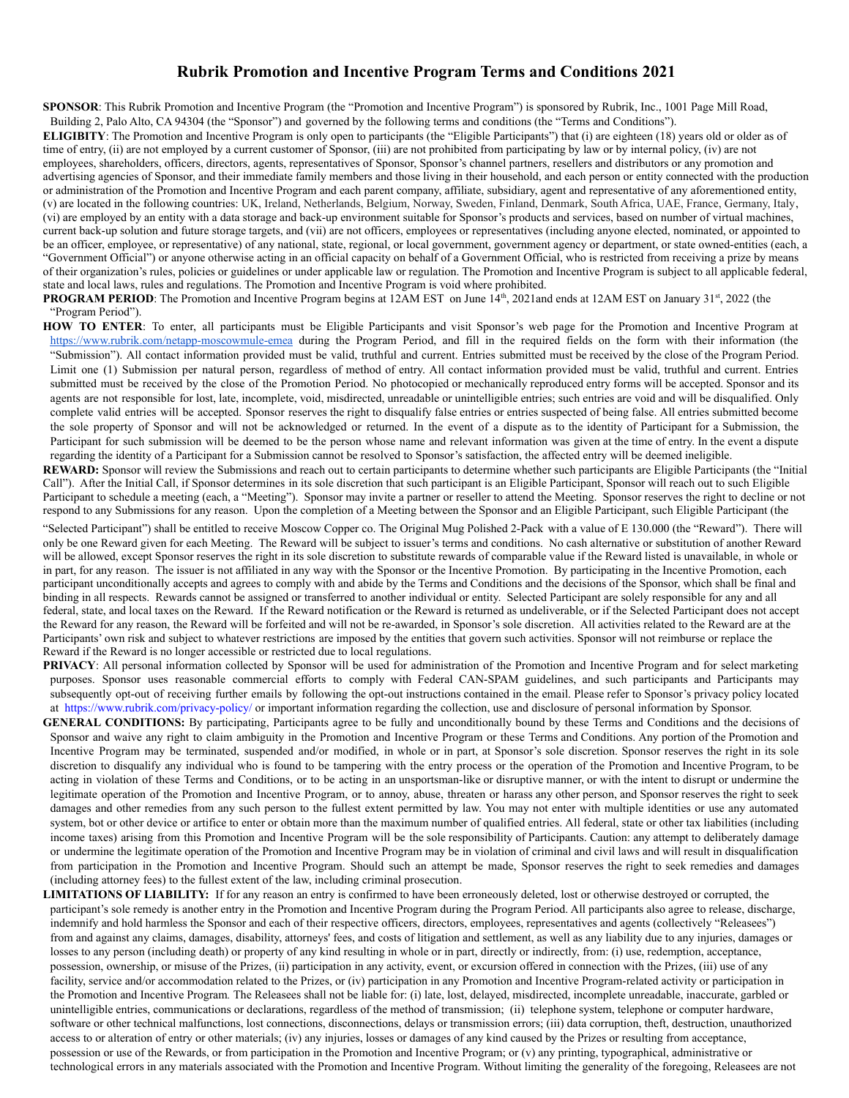## **Rubrik Promotion and Incentive Program Terms and Conditions 2021**

**SPONSOR**: This Rubrik Promotion and Incentive Program (the "Promotion and Incentive Program") is sponsored by Rubrik, Inc., 1001 Page Mill Road,

Building 2, Palo Alto, CA 94304 (the "Sponsor") and governed by the following terms and conditions (the "Terms and Conditions").

**ELIGIBITY**: The Promotion and Incentive Program is only open to participants (the "Eligible Participants") that (i) are eighteen (18) years old or older as of time of entry, (ii) are not employed by a current customer of Sponsor, (iii) are not prohibited from participating by law or by internal policy, (iv) are not employees, shareholders, officers, directors, agents, representatives of Sponsor, Sponsor's channel partners, resellers and distributors or any promotion and advertising agencies of Sponsor, and their immediate family members and those living in their household, and each person or entity connected with the production or administration of the Promotion and Incentive Program and each parent company, affiliate, subsidiary, agent and representative of any aforementioned entity, (v) are located in the following countries: UK, Ireland, Netherlands, Belgium, Norway, Sweden, Finland, Denmark, South Africa, UAE, France, Germany, Italy, (vi) are employed by an entity with a data storage and back-up environment suitable for Sponsor's products and services, based on number of virtual machines, current back-up solution and future storage targets, and (vii) are not officers, employees or representatives (including anyone elected, nominated, or appointed to be an officer, employee, or representative) of any national, state, regional, or local government, government agency or department, or state owned-entities (each, a "Government Official") or anyone otherwise acting in an official capacity on behalf of a Government Official, who is restricted from receiving a prize by means of their organization's rules, policies or guidelines or under applicable law or regulation. The Promotion and Incentive Program is subject to all applicable federal, state and local laws, rules and regulations. The Promotion and Incentive Program is void where prohibited.

**PROGRAM PERIOD**: The Promotion and Incentive Program begins at 12AM EST on June 14<sup>th</sup>, 2021and ends at 12AM EST on January 31<sup>st</sup>, 2022 (the "Program Period").

HOW TO ENTER: To enter, all participants must be Eligible Participants and visit Sponsor's web page for the Promotion and Incentive Program at <https://www.rubrik.com/netapp-moscowmule-emea> during the Program Period, and fill in the required fields on the form with their information (the "Submission"). All contact information provided must be valid, truthful and current. Entries submitted must be received by the close of the Program Period. Limit one (1) Submission per natural person, regardless of method of entry. All contact information provided must be valid, truthful and current. Entries submitted must be received by the close of the Promotion Period. No photocopied or mechanically reproduced entry forms will be accepted. Sponsor and its agents are not responsible for lost, late, incomplete, void, misdirected, unreadable or unintelligible entries; such entries are void and will be disqualified. Only complete valid entries will be accepted. Sponsor reserves the right to disqualify false entries or entries suspected of being false. All entries submitted become the sole property of Sponsor and will not be acknowledged or returned. In the event of a dispute as to the identity of Participant for a Submission, the Participant for such submission will be deemed to be the person whose name and relevant information was given at the time of entry. In the event a dispute regarding the identity of a Participant for a Submission cannot be resolved to Sponsor's satisfaction, the affected entry will be deemed ineligible.

REWARD: Sponsor will review the Submissions and reach out to certain participants to determine whether such participants are Eligible Participants (the "Initial Call"). After the Initial Call, if Sponsor determines in its sole discretion that such participant is an Eligible Participant, Sponsor will reach out to such Eligible Participant to schedule a meeting (each, a "Meeting"). Sponsor may invite a partner or reseller to attend the Meeting. Sponsor reserves the right to decline or not respond to any Submissions for any reason. Upon the completion of a Meeting between the Sponsor and an Eligible Participant, such Eligible Participant (the

"Selected Participant") shall be entitled to receive Moscow Copper co. The Original Mug Polished 2-Pack with a value of E 130.000 (the "Reward"). There will only be one Reward given for each Meeting. The Reward will be subject to issuer's terms and conditions. No cash alternative or substitution of another Reward will be allowed, except Sponsor reserves the right in its sole discretion to substitute rewards of comparable value if the Reward listed is unavailable, in whole or in part, for any reason. The issuer is not affiliated in any way with the Sponsor or the Incentive Promotion. By participating in the Incentive Promotion, each participant unconditionally accepts and agrees to comply with and abide by the Terms and Conditions and the decisions of the Sponsor, which shall be final and binding in all respects. Rewards cannot be assigned or transferred to another individual or entity. Selected Participant are solely responsible for any and all federal, state, and local taxes on the Reward. If the Reward notification or the Reward is returned as undeliverable, or if the Selected Participant does not accept the Reward for any reason, the Reward will be forfeited and will not be re-awarded, in Sponsor's sole discretion. All activities related to the Reward are at the Participants' own risk and subject to whatever restrictions are imposed by the entities that govern such activities. Sponsor will not reimburse or replace the Reward if the Reward is no longer accessible or restricted due to local regulations.

**PRIVACY**: All personal information collected by Sponsor will be used for administration of the Promotion and Incentive Program and for select marketing purposes. Sponsor uses reasonable commercial efforts to comply with Federal CAN-SPAM guidelines, and such participants and Participants may subsequently opt-out of receiving further emails by following the opt-out instructions contained in the email. Please refer to Sponsor's privacy policy located at <https://www.rubrik.com/privacy-policy/> or important information regarding the collection, use and disclosure of personal information by Sponsor.

- **GENERAL CONDITIONS:** By participating, Participants agree to be fully and unconditionally bound by these Terms and Conditions and the decisions of Sponsor and waive any right to claim ambiguity in the Promotion and Incentive Program or these Terms and Conditions. Any portion of the Promotion and Incentive Program may be terminated, suspended and/or modified, in whole or in part, at Sponsor's sole discretion. Sponsor reserves the right in its sole discretion to disqualify any individual who is found to be tampering with the entry process or the operation of the Promotion and Incentive Program, to be acting in violation of these Terms and Conditions, or to be acting in an unsportsman-like or disruptive manner, or with the intent to disrupt or undermine the legitimate operation of the Promotion and Incentive Program, or to annoy, abuse, threaten or harass any other person, and Sponsor reserves the right to seek damages and other remedies from any such person to the fullest extent permitted by law. You may not enter with multiple identities or use any automated system, bot or other device or artifice to enter or obtain more than the maximum number of qualified entries. All federal, state or other tax liabilities (including income taxes) arising from this Promotion and Incentive Program will be the sole responsibility of Participants. Caution: any attempt to deliberately damage or undermine the legitimate operation of the Promotion and Incentive Program may be in violation of criminal and civil laws and will result in disqualification from participation in the Promotion and Incentive Program. Should such an attempt be made, Sponsor reserves the right to seek remedies and damages (including attorney fees) to the fullest extent of the law, including criminal prosecution.
- **LIMITATIONS OF LIABILITY:** If for any reason an entry is confirmed to have been erroneously deleted, lost or otherwise destroyed or corrupted, the participant's sole remedy is another entry in the Promotion and Incentive Program during the Program Period. All participants also agree to release, discharge, indemnify and hold harmless the Sponsor and each of their respective officers, directors, employees, representatives and agents (collectively "Releasees") from and against any claims, damages, disability, attorneys' fees, and costs of litigation and settlement, as well as any liability due to any injuries, damages or losses to any person (including death) or property of any kind resulting in whole or in part, directly or indirectly, from: (i) use, redemption, acceptance, possession, ownership, or misuse of the Prizes, (ii) participation in any activity, event, or excursion offered in connection with the Prizes, (iii) use of any facility, service and/or accommodation related to the Prizes, or (iv) participation in any Promotion and Incentive Program-related activity or participation in the Promotion and Incentive Program*.* The Releasees shall not be liable for: (i) late, lost, delayed, misdirected, incomplete unreadable, inaccurate, garbled or unintelligible entries, communications or declarations, regardless of the method of transmission; (ii) telephone system, telephone or computer hardware, software or other technical malfunctions, lost connections, disconnections, delays or transmission errors; (iii) data corruption, theft, destruction, unauthorized access to or alteration of entry or other materials; (iv) any injuries, losses or damages of any kind caused by the Prizes or resulting from acceptance, possession or use of the Rewards, or from participation in the Promotion and Incentive Program; or (v) any printing, typographical, administrative or technological errors in any materials associated with the Promotion and Incentive Program. Without limiting the generality of the foregoing, Releasees are not